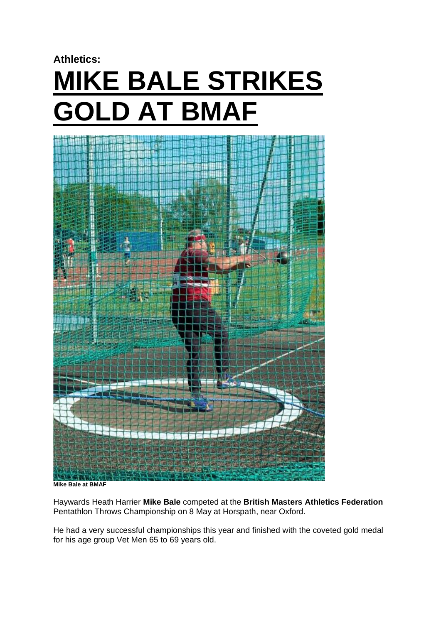# **Athletics: MIKE BALE STRIKES GOLD AT BMAF**



**Mike Bale at BMAF** 

Haywards Heath Harrier **Mike Bale** competed at the **British Masters Athletics Federation** Pentathlon Throws Championship on 8 May at Horspath, near Oxford.

He had a very successful championships this year and finished with the coveted gold medal for his age group Vet Men 65 to 69 years old.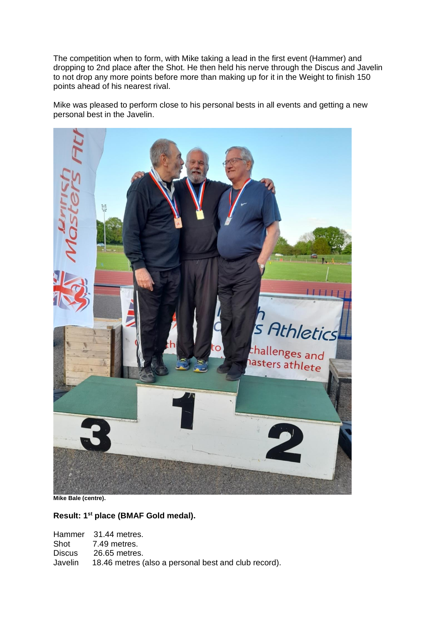The competition when to form, with Mike taking a lead in the first event (Hammer) and dropping to 2nd place after the Shot. He then held his nerve through the Discus and Javelin to not drop any more points before more than making up for it in the Weight to finish 150 points ahead of his nearest rival.

Mike was pleased to perform close to his personal bests in all events and getting a new personal best in the Javelin.



**Mike Bale (centre).**

**Result: 1st place (BMAF Gold medal).**

|        | Hammer 31.44 metres.                                         |
|--------|--------------------------------------------------------------|
|        | Shot 7.49 metres.                                            |
| Discus | 26.65 metres.                                                |
|        | Javelin 18.46 metres (also a personal best and club record). |
|        |                                                              |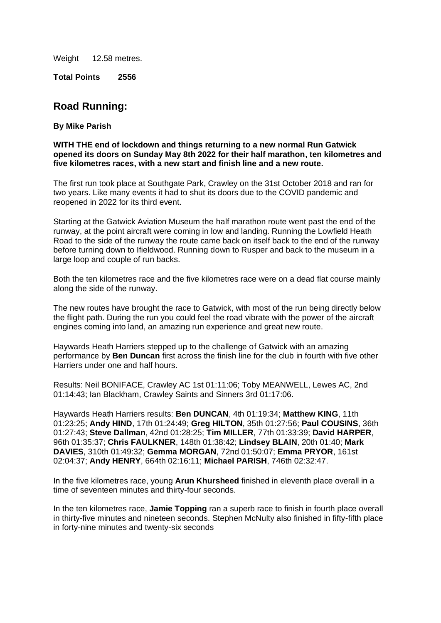Weight 12.58 metres.

**Total Points 2556**

# **Road Running:**

#### **By Mike Parish**

#### **WITH THE end of lockdown and things returning to a new normal Run Gatwick opened its doors on Sunday May 8th 2022 for their half marathon, ten kilometres and five kilometres races, with a new start and finish line and a new route.**

The first run took place at Southgate Park, Crawley on the 31st October 2018 and ran for two years. Like many events it had to shut its doors due to the COVID pandemic and reopened in 2022 for its third event.

Starting at the Gatwick Aviation Museum the half marathon route went past the end of the runway, at the point aircraft were coming in low and landing. Running the Lowfield Heath Road to the side of the runway the route came back on itself back to the end of the runway before turning down to Ifieldwood. Running down to Rusper and back to the museum in a large loop and couple of run backs.

Both the ten kilometres race and the five kilometres race were on a dead flat course mainly along the side of the runway.

The new routes have brought the race to Gatwick, with most of the run being directly below the flight path. During the run you could feel the road vibrate with the power of the aircraft engines coming into land, an amazing run experience and great new route.

Haywards Heath Harriers stepped up to the challenge of Gatwick with an amazing performance by **Ben Duncan** first across the finish line for the club in fourth with five other Harriers under one and half hours.

Results: Neil BONIFACE, Crawley AC 1st 01:11:06; Toby MEANWELL, Lewes AC, 2nd 01:14:43; Ian Blackham, Crawley Saints and Sinners 3rd 01:17:06.

Haywards Heath Harriers results: **Ben DUNCAN**, 4th 01:19:34; **Matthew KING**, 11th 01:23:25; **Andy HIND**, 17th 01:24:49; **Greg HILTON**, 35th 01:27:56; **Paul COUSINS**, 36th 01:27:43; **Steve Dallman**, 42nd 01:28:25; **Tim MILLER**, 77th 01:33:39; **David HARPER**, 96th 01:35:37; **Chris FAULKNER**, 148th 01:38:42; **Lindsey BLAIN**, 20th 01:40; **Mark DAVIES**, 310th 01:49:32; **Gemma MORGAN**, 72nd 01:50:07; **Emma PRYOR**, 161st 02:04:37; **Andy HENRY**, 664th 02:16:11; **Michael PARISH**, 746th 02:32:47.

In the five kilometres race, young **Arun Khursheed** finished in eleventh place overall in a time of seventeen minutes and thirty-four seconds.

In the ten kilometres race, **Jamie Topping** ran a superb race to finish in fourth place overall in thirty-five minutes and nineteen seconds. Stephen McNulty also finished in fifty-fifth place in forty-nine minutes and twenty-six seconds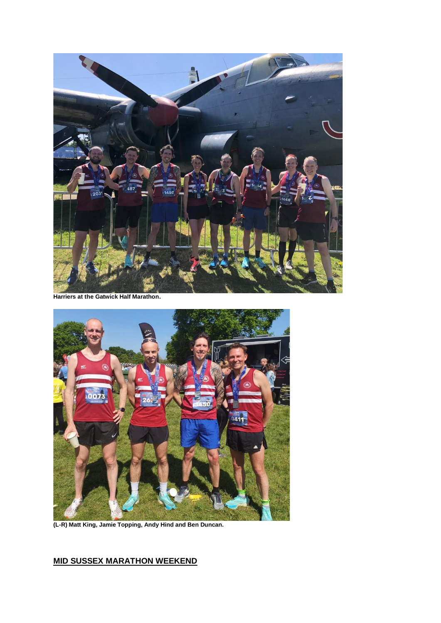

**Harriers at the Gatwick Half Marathon.**



**(L-R) Matt King, Jamie Topping, Andy Hind and Ben Duncan.**

## **MID SUSSEX MARATHON WEEKEND**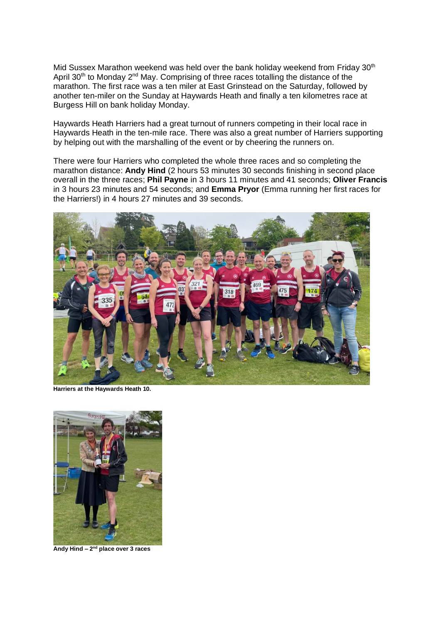Mid Sussex Marathon weekend was held over the bank holiday weekend from Friday 30<sup>th</sup> April 30<sup>th</sup> to Monday 2<sup>nd</sup> May. Comprising of three races totalling the distance of the marathon. The first race was a ten miler at East Grinstead on the Saturday, followed by another ten-miler on the Sunday at Haywards Heath and finally a ten kilometres race at Burgess Hill on bank holiday Monday.

Haywards Heath Harriers had a great turnout of runners competing in their local race in Haywards Heath in the ten-mile race. There was also a great number of Harriers supporting by helping out with the marshalling of the event or by cheering the runners on.

There were four Harriers who completed the whole three races and so completing the marathon distance: **Andy Hind** (2 hours 53 minutes 30 seconds finishing in second place overall in the three races; **Phil Payne** in 3 hours 11 minutes and 41 seconds; **Oliver Francis** in 3 hours 23 minutes and 54 seconds; and **Emma Pryor** (Emma running her first races for the Harriers!) in 4 hours 27 minutes and 39 seconds.



**Harriers at the Haywards Heath 10.**



**Andy Hind – 2 nd place over 3 races**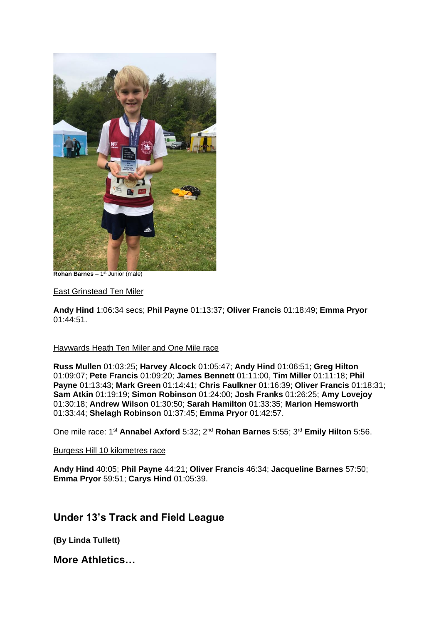

**Rohan Barnes**  $-1$ <sup>st</sup> Junior (male)

#### East Grinstead Ten Miler

**Andy Hind** 1:06:34 secs; **Phil Payne** 01:13:37; **Oliver Francis** 01:18:49; **Emma Pryor** 01:44:51.

#### Haywards Heath Ten Miler and One Mile race

**Russ Mullen** 01:03:25; **Harvey Alcock** 01:05:47; **Andy Hind** 01:06:51; **Greg Hilton** 01:09:07; **Pete Francis** 01:09:20; **James Bennett** 01:11:00, **Tim Miller** 01:11:18; **Phil Payne** 01:13:43; **Mark Green** 01:14:41; **Chris Faulkner** 01:16:39; **Oliver Francis** 01:18:31; **Sam Atkin** 01:19:19; **Simon Robinson** 01:24:00; **Josh Franks** 01:26:25; **Amy Lovejoy** 01:30:18; **Andrew Wilson** 01:30:50; **Sarah Hamilton** 01:33:35; **Marion Hemsworth** 01:33:44; **Shelagh Robinson** 01:37:45; **Emma Pryor** 01:42:57.

One mile race: 1<sup>st</sup> Annabel Axford 5:32; 2<sup>nd</sup> Rohan Barnes 5:55; 3<sup>rd</sup> Emily Hilton 5:56.

#### Burgess Hill 10 kilometres race

**Andy Hind** 40:05; **Phil Payne** 44:21; **Oliver Francis** 46:34; **Jacqueline Barnes** 57:50; **Emma Pryor** 59:51; **Carys Hind** 01:05:39.

## **Under 13's Track and Field League**

**(By Linda Tullett)**

**More Athletics…**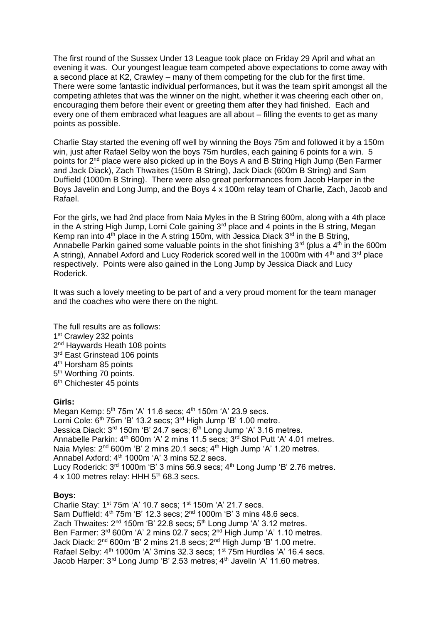The first round of the Sussex Under 13 League took place on Friday 29 April and what an evening it was. Our youngest league team competed above expectations to come away with a second place at K2, Crawley – many of them competing for the club for the first time. There were some fantastic individual performances, but it was the team spirit amongst all the competing athletes that was the winner on the night, whether it was cheering each other on, encouraging them before their event or greeting them after they had finished. Each and every one of them embraced what leagues are all about – filling the events to get as many points as possible.

Charlie Stay started the evening off well by winning the Boys 75m and followed it by a 150m win, just after Rafael Selby won the boys 75m hurdles, each gaining 6 points for a win. 5 points for 2<sup>nd</sup> place were also picked up in the Boys A and B String High Jump (Ben Farmer and Jack Diack), Zach Thwaites (150m B String), Jack Diack (600m B String) and Sam Duffield (1000m B String). There were also great performances from Jacob Harper in the Boys Javelin and Long Jump, and the Boys 4 x 100m relay team of Charlie, Zach, Jacob and Rafael.

For the girls, we had 2nd place from Naia Myles in the B String 600m, along with a 4th place in the A string High Jump, Lorni Cole gaining 3<sup>rd</sup> place and 4 points in the B string, Megan Kemp ran into  $4<sup>th</sup>$  place in the A string 150m, with Jessica Diack  $3<sup>rd</sup>$  in the B String, Annabelle Parkin gained some valuable points in the shot finishing  $3<sup>rd</sup>$  (plus a  $4<sup>th</sup>$  in the 600m A string), Annabel Axford and Lucy Roderick scored well in the 1000m with  $4<sup>th</sup>$  and  $3<sup>rd</sup>$  place respectively. Points were also gained in the Long Jump by Jessica Diack and Lucy Roderick.

It was such a lovely meeting to be part of and a very proud moment for the team manager and the coaches who were there on the night.

- The full results are as follows: 1<sup>st</sup> Crawley 232 points 2<sup>nd</sup> Haywards Heath 108 points 3<sup>rd</sup> East Grinstead 106 points
- 4<sup>th</sup> Horsham 85 points
- 5<sup>th</sup> Worthing 70 points. 6<sup>th</sup> Chichester 45 points

## **Girls:**

Megan Kemp:  $5<sup>th</sup>$  75m 'A' 11.6 secs;  $4<sup>th</sup>$  150m 'A' 23.9 secs. Lorni Cole:  $6<sup>th</sup>$  75m 'B' 13.2 secs;  $3<sup>rd</sup>$  High Jump 'B' 1.00 metre. Jessica Diack: 3<sup>rd</sup> 150m 'B' 24.7 secs; 6<sup>th</sup> Long Jump 'A' 3.16 metres. Annabelle Parkin: 4<sup>th</sup> 600m 'A' 2 mins 11.5 secs; 3<sup>rd</sup> Shot Putt 'A' 4.01 metres. Naia Myles: 2<sup>nd</sup> 600m 'B' 2 mins 20.1 secs; 4<sup>th</sup> High Jump 'A' 1.20 metres. Annabel Axford:  $4<sup>th</sup>$  1000m 'A' 3 mins 52.2 secs. Lucy Roderick: 3<sup>rd</sup> 1000m 'B' 3 mins 56.9 secs; 4<sup>th</sup> Long Jump 'B' 2.76 metres. 4 x 100 metres relay: HHH  $5<sup>th</sup>$  68.3 secs.

## **Boys:**

Charlie Stay: 1st 75m 'A' 10.7 secs; 1st 150m 'A' 21.7 secs. Sam Duffield:  $4<sup>th</sup>$  75m 'B' 12.3 secs;  $2<sup>nd</sup>$  1000m 'B' 3 mins 48.6 secs. Zach Thwaites:  $2^{nd}$  150m 'B' 22.8 secs;  $5^{th}$  Long Jump 'A' 3.12 metres. Ben Farmer: 3<sup>rd</sup> 600m 'A' 2 mins 02.7 secs; 2<sup>nd</sup> High Jump 'A' 1.10 metres. Jack Diack: 2nd 600m 'B' 2 mins 21.8 secs; 2nd High Jump 'B' 1.00 metre. Rafael Selby:  $4<sup>th</sup>$  1000m 'A' 3mins 32.3 secs;  $1<sup>st</sup>$  75m Hurdles 'A' 16.4 secs. Jacob Harper: 3<sup>rd</sup> Long Jump 'B' 2.53 metres; 4<sup>th</sup> Javelin 'A' 11.60 metres.